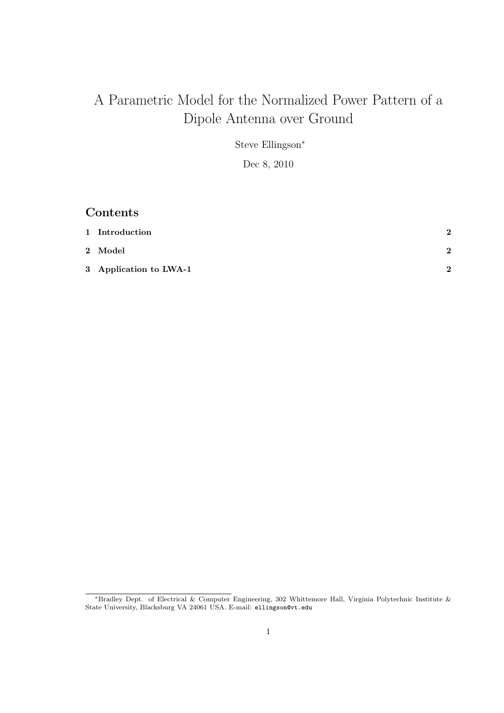# A Parametric Model for the Normalized Power Pattern of a Dipole Antenna over Ground

Steve Ellingson<sup>∗</sup>

Dec 8, 2010

### Contents

| 1 Introduction         | $\bf{2}$ |
|------------------------|----------|
| $2\;$ Model            | 2        |
| 3 Application to LWA-1 | $\Omega$ |

<sup>∗</sup>Bradley Dept. of Electrical & Computer Engineering, 302 Whittemore Hall, Virginia Polytechnic Institute & State University, Blacksburg VA 24061 USA. E-mail: ellingson@vt.edu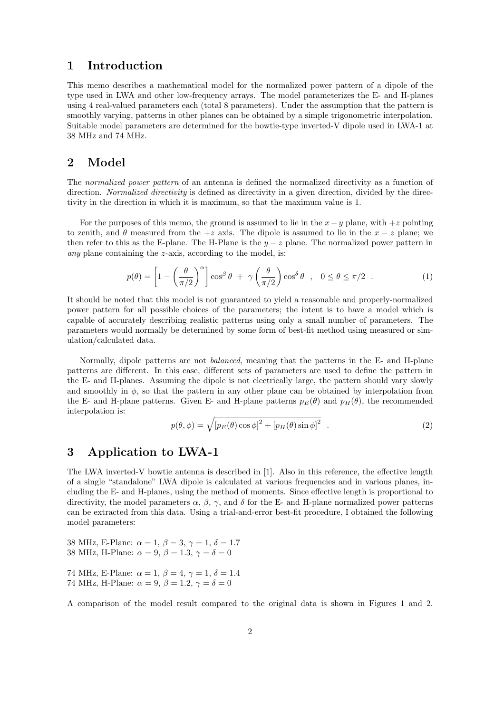#### 1 Introduction

This memo describes a mathematical model for the normalized power pattern of a dipole of the type used in LWA and other low-frequency arrays. The model parameterizes the E- and H-planes using 4 real-valued parameters each (total 8 parameters). Under the assumption that the pattern is smoothly varying, patterns in other planes can be obtained by a simple trigonometric interpolation. Suitable model parameters are determined for the bowtie-type inverted-V dipole used in LWA-1 at 38 MHz and 74 MHz.

#### 2 Model

The normalized power pattern of an antenna is defined the normalized directivity as a function of direction. Normalized directivity is defined as directivity in a given direction, divided by the directivity in the direction in which it is maximum, so that the maximum value is 1.

For the purposes of this memo, the ground is assumed to lie in the  $x-y$  plane, with  $+z$  pointing to zenith, and  $\theta$  measured from the  $+z$  axis. The dipole is assumed to lie in the  $x - z$  plane; we then refer to this as the E-plane. The H-Plane is the  $y - z$  plane. The normalized power pattern in any plane containing the z-axis, according to the model, is:

$$
p(\theta) = \left[1 - \left(\frac{\theta}{\pi/2}\right)^{\alpha}\right] \cos^{\beta} \theta + \gamma \left(\frac{\theta}{\pi/2}\right) \cos^{\delta} \theta , 0 \le \theta \le \pi/2 . \tag{1}
$$

It should be noted that this model is not guaranteed to yield a reasonable and properly-normalized power pattern for all possible choices of the parameters; the intent is to have a model which is capable of accurately describing realistic patterns using only a small number of parameters. The parameters would normally be determined by some form of best-fit method using measured or simulation/calculated data.

Normally, dipole patterns are not balanced, meaning that the patterns in the E- and H-plane patterns are different. In this case, different sets of parameters are used to define the pattern in the E- and H-planes. Assuming the dipole is not electrically large, the pattern should vary slowly and smoothly in  $\phi$ , so that the pattern in any other plane can be obtained by interpolation from the E- and H-plane patterns. Given E- and H-plane patterns  $p_E(\theta)$  and  $p_H(\theta)$ , the recommended interpolation is:

$$
p(\theta, \phi) = \sqrt{\left[p_E(\theta)\cos\phi\right]^2 + \left[p_H(\theta)\sin\phi\right]^2} \quad . \tag{2}
$$

#### 3 Application to LWA-1

The LWA inverted-V bowtie antenna is described in [1]. Also in this reference, the effective length of a single "standalone" LWA dipole is calculated at various frequencies and in various planes, including the E- and H-planes, using the method of moments. Since effective length is proportional to directivity, the model parameters  $\alpha$ ,  $\beta$ ,  $\gamma$ , and  $\delta$  for the E- and H-plane normalized power patterns can be extracted from this data. Using a trial-and-error best-fit procedure, I obtained the following model parameters:

- 38 MHz, E-Plane:  $\alpha = 1, \beta = 3, \gamma = 1, \delta = 1.7$ 38 MHz, H-Plane:  $\alpha = 9$ ,  $\beta = 1.3$ ,  $\gamma = \delta = 0$
- 74 MHz, E-Plane:  $\alpha = 1, \beta = 4, \gamma = 1, \delta = 1.4$ 74 MHz, H-Plane:  $\alpha = 9$ ,  $\beta = 1.2$ ,  $\gamma = \delta = 0$

A comparison of the model result compared to the original data is shown in Figures 1 and 2.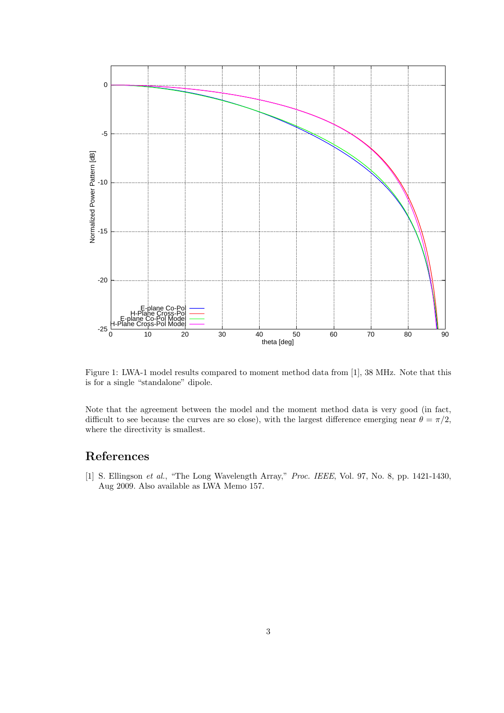

Figure 1: LWA-1 model results compared to moment method data from [1], 38 MHz. Note that this is for a single "standalone" dipole.

Note that the agreement between the model and the moment method data is very good (in fact, difficult to see because the curves are so close), with the largest difference emerging near  $\theta = \pi/2$ , where the directivity is smallest.

## References

[1] S. Ellingson et al., "The Long Wavelength Array," Proc. IEEE, Vol. 97, No. 8, pp. 1421-1430, Aug 2009. Also available as LWA Memo 157.